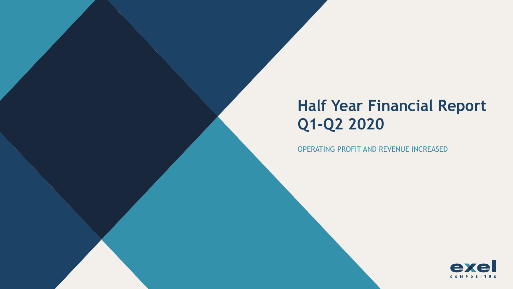# **Half Year Financial Report Q1-Q2 2020**

OPERATING PROFIT AND REVENUE INCREASED

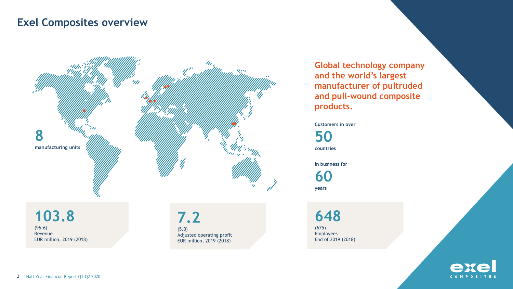#### **Exel Composites overview**



**Global technology company and the world's largest manufacturer of pultruded and pull-wound composite products.**

**Customers in over** 

**50**

**countries**

**In business for** 

**60 years**

**103.8** (96.6) Revenue EUR million, 2019 (2018)

**7.2** (5.0) Adjusted operating profit EUR million, 2019 (2018)

**648** (675) Employees End of 2019 (2018)

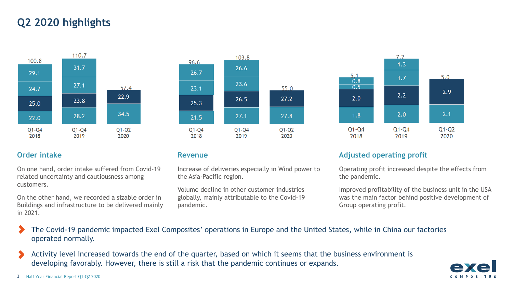# **Q2 2020 highlights**



On one hand, order intake suffered from Covid-19 related uncertainty and cautiousness among customers.

On the other hand, we recorded a sizable order in Buildings and infrastructure to be delivered mainly in 2021.

96.6

26.7

 $23.1$ 

25.3

21.5

 $Q1 - Q4$ 

2018

Increase of deliveries especially in Wind power to the Asia-Pacific region.

Volume decline in other customer industries globally, mainly attributable to the Covid-19 pandemic.

103.8

26.6

23.6

26.5

 $27.1$ 

 $Q1 - Q4$ 

2019

55.0

 $27.2$ 

27.8

 $Q1-Q2$ 

2020



#### **Order intake Revenue Revenue Revenue Adjusted operating profit**

Operating profit increased despite the effects from the pandemic.

Improved profitability of the business unit in the USA was the main factor behind positive development of Group operating profit.

- The Covid-19 pandemic impacted Exel Composites' operations in Europe and the United States, while in China our factories operated normally.
- Activity level increased towards the end of the quarter, based on which it seems that the business environment is developing favorably. However, there is still a risk that the pandemic continues or expands.

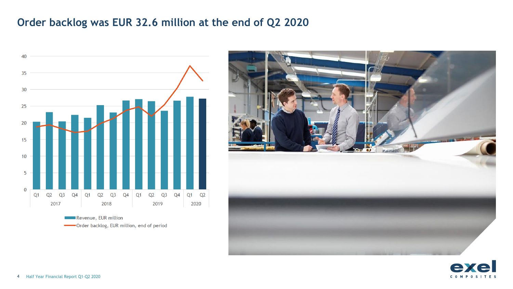## **Order backlog was EUR 32.6 million at the end of Q2 2020**



-Order backlog, EUR million, end of period



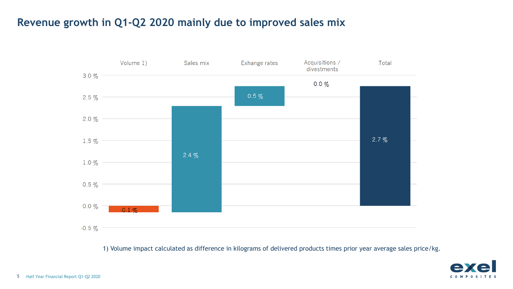# **Revenue growth in Q1-Q2 2020 mainly due to improved sales mix**



1) Volume impact calculated as difference in kilograms of delivered products times prior year average sales price/kg.

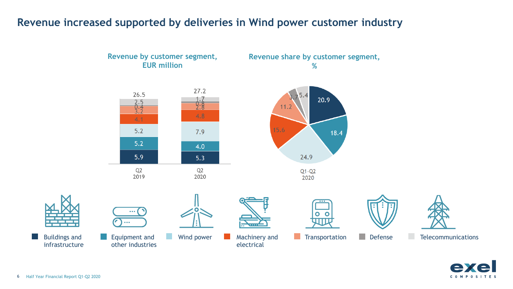### **Revenue increased supported by deliveries in Wind power customer industry**





н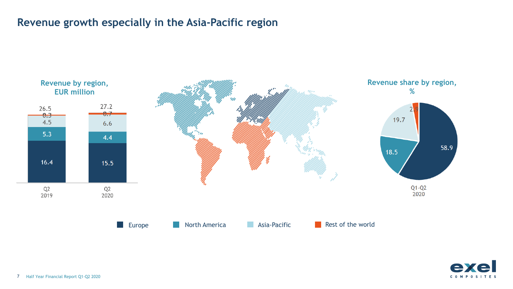## **Revenue growth especially in the Asia-Pacific region**



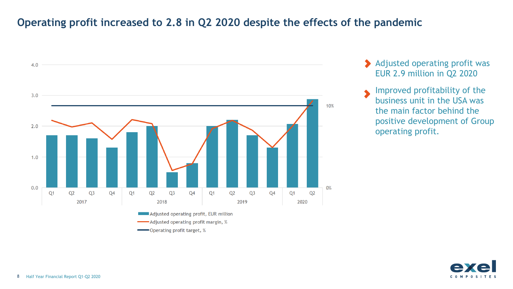### **Operating profit increased to 2.8 in Q2 2020 despite the effects of the pandemic**



- Adjusted operating profit was EUR 2.9 million in Q2 2020
- Improved profitability of the  $\blacklozenge$ business unit in the USA was the main factor behind the positive development of Group operating profit.

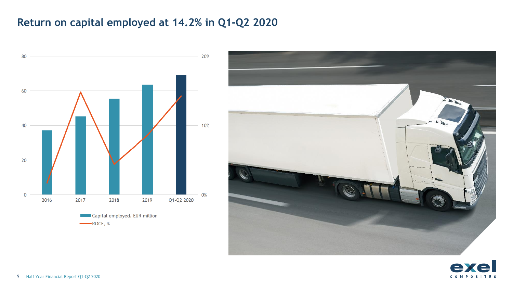# **Return on capital employed at 14.2% in Q1-Q2 2020**





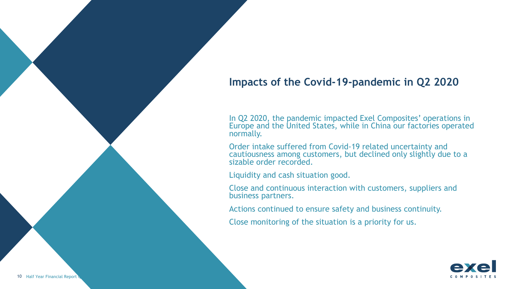### **Impacts of the Covid-19-pandemic in Q2 2020**

In Q2 2020, the pandemic impacted Exel Composites' operations in Europe and the United States, while in China our factories operated normally.

Order intake suffered from Covid-19 related uncertainty and cautiousness among customers, but declined only slightly due to a sizable order recorded.

Liquidity and cash situation good.

Close and continuous interaction with customers, suppliers and business partners.

Actions continued to ensure safety and business continuity.

Close monitoring of the situation is a priority for us.

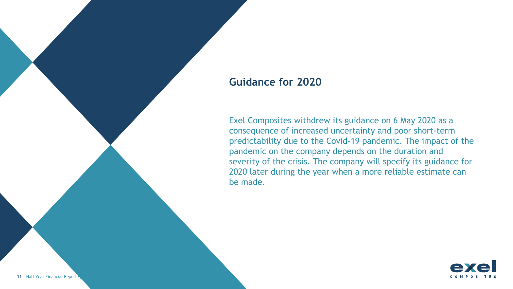#### **Guidance for 2020**

Exel Composites withdrew its guidance on 6 May 2020 as a consequence of increased uncertainty and poor short-term predictability due to the Covid-19 pandemic. The impact of the pandemic on the company depends on the duration and severity of the crisis. The company will specify its guidance for 2020 later during the year when a more reliable estimate can be made.

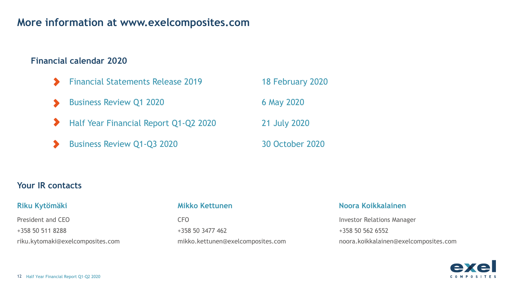#### **More information at www.exelcomposites.com**

#### **Financial calendar 2020**

- Financial Statements Release 2019 18 February 2020
- Business Review Q1 2020 6 May 2020
- Half Year Financial Report Q1-Q2 2020 21 July 2020  $\blacktriangleright$
- Business Review Q1-Q3 2020 30 October 2020

#### **Your IR contacts**

President and CEO +358 50 511 8288 riku.kytomaki@exelcomposites.com

CFO +358 50 3477 462 mikko.kettunen@exelcomposites.com

#### **Riku Kytömäki Mikko Kettunen Noora Koikkalainen**

Investor Relations Manager +358 50 562 6552 noora.koikkalainen@exelcomposites.com